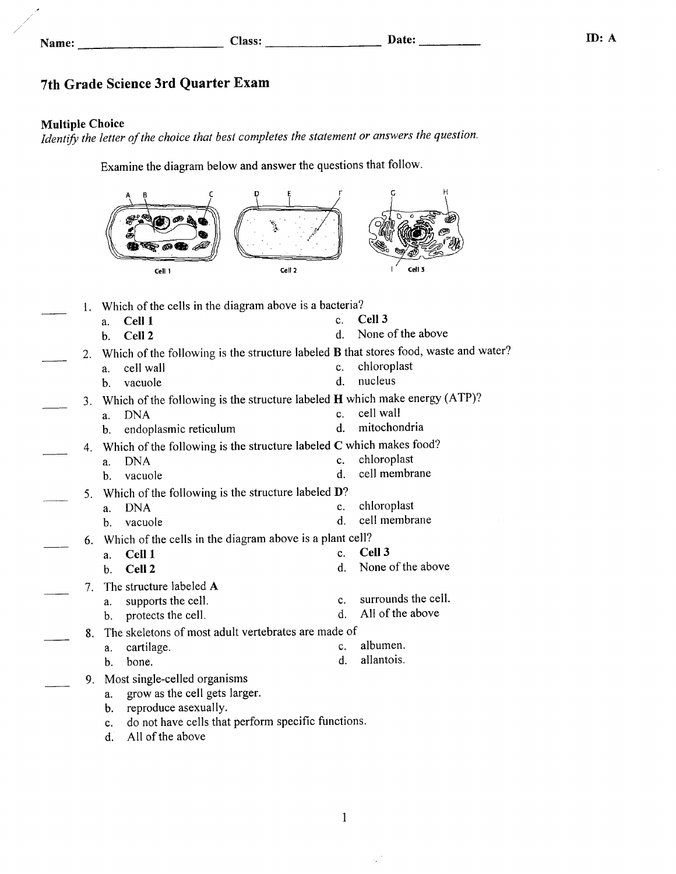| ame |  |
|-----|--|
|-----|--|

## 7th Grade Science 3rd Quarter Exam

#### Multiple Choice

Identify the letter of the choice that best completes the statement or answers the question.

Examine the diagram below and answer the questions that follow.

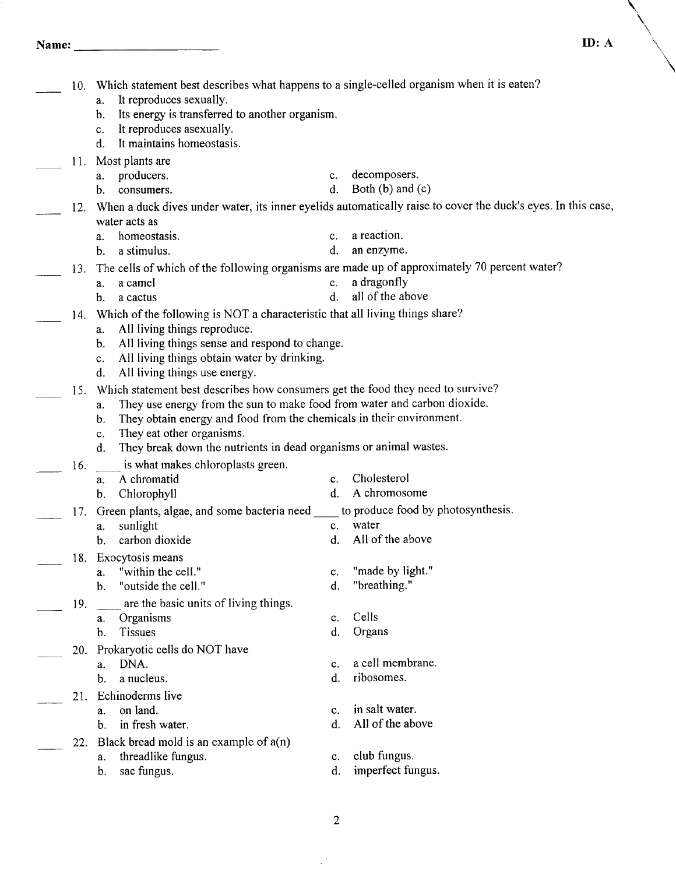Name: ID: A

 $\overline{a}$ 

r<br>Maria

| 10. | Which statement best describes what happens to a single-celled organism when it is eaten?<br>It reproduces sexually.<br>a.<br>Its energy is transferred to another organism.<br>$\mathbf{b}$ .                                                                                                          |                            |                                                                                                              |
|-----|---------------------------------------------------------------------------------------------------------------------------------------------------------------------------------------------------------------------------------------------------------------------------------------------------------|----------------------------|--------------------------------------------------------------------------------------------------------------|
|     | It reproduces as exually.<br>c.<br>It maintains homeostasis.<br>d.                                                                                                                                                                                                                                      |                            |                                                                                                              |
| 11. | Most plants are<br>producers.<br>а.<br>consumers.<br>b.                                                                                                                                                                                                                                                 | $c_{\cdot}$<br>$d_{\cdot}$ | decomposers.<br>Both $(b)$ and $(c)$                                                                         |
| 12. |                                                                                                                                                                                                                                                                                                         |                            | When a duck dives under water, its inner eyelids automatically raise to cover the duck's eyes. In this case, |
|     | water acts as<br>homeostasis.<br>a.                                                                                                                                                                                                                                                                     | $c_{\cdot}$                | a reaction.                                                                                                  |
|     | b. a stimulus.                                                                                                                                                                                                                                                                                          | d.                         | an enzyme.                                                                                                   |
| 13. | The cells of which of the following organisms are made up of approximately 70 percent water?<br>a camel<br>а.<br>a cactus<br>b.                                                                                                                                                                         | $c_{\cdot}$<br>d.          | a dragonfly<br>all of the above                                                                              |
|     | 14. Which of the following is NOT a characteristic that all living things share?                                                                                                                                                                                                                        |                            |                                                                                                              |
|     | All living things reproduce.<br>a.<br>b. All living things sense and respond to change.<br>All living things obtain water by drinking.<br>$c_{\rm c}$<br>All living things use energy.<br>d.                                                                                                            |                            |                                                                                                              |
| 15. | Which statement best describes how consumers get the food they need to survive?<br>They use energy from the sun to make food from water and carbon dioxide.<br>a.<br>They obtain energy and food from the chemicals in their environment.<br>$\mathbf{b}$ .<br>They eat other organisms.<br>$c_{\rm r}$ |                            |                                                                                                              |
|     | They break down the nutrients in dead organisms or animal wastes.<br>d.                                                                                                                                                                                                                                 |                            |                                                                                                              |
| 16. | is what makes chloroplasts green.<br>A chromatid<br>a.                                                                                                                                                                                                                                                  | $\mathbf{c}$ .             | Cholesterol                                                                                                  |
|     | Chlorophyll<br>b.                                                                                                                                                                                                                                                                                       | d.                         | A chromosome                                                                                                 |
| 17. | Green plants, algae, and some bacteria need _____ to produce food by photosynthesis.<br>sunlight<br>a.<br>carbon dioxide<br>b.                                                                                                                                                                          | c.<br>$\mathbf{d}$ .       | water<br>All of the above                                                                                    |
|     | 18. Exocytosis means                                                                                                                                                                                                                                                                                    |                            |                                                                                                              |
|     | "within the cell."<br>a.<br>"outside the cell."<br>b.                                                                                                                                                                                                                                                   | $\mathbf{c}.$<br>d.        | "made by light."<br>"breathing."                                                                             |
| 19. | are the basic units of living things.                                                                                                                                                                                                                                                                   |                            |                                                                                                              |
|     | Organisms<br>a.<br>Tissues<br>b.                                                                                                                                                                                                                                                                        | c.<br>d.                   | Cells<br>Organs                                                                                              |
| 20. | Prokaryotic cells do NOT have                                                                                                                                                                                                                                                                           |                            |                                                                                                              |
|     | DNA.<br>a.                                                                                                                                                                                                                                                                                              | c.                         | a cell membrane.<br>ribosomes.                                                                               |
| 21. | a nucleus.<br>b.<br>Echinoderms live                                                                                                                                                                                                                                                                    | d.                         |                                                                                                              |
|     | on land.<br>a.                                                                                                                                                                                                                                                                                          | C.                         | in salt water.                                                                                               |
|     | in fresh water.<br>b.<br>Black bread mold is an example of $a(n)$                                                                                                                                                                                                                                       | d.                         | All of the above                                                                                             |
| 22. | threadlike fungus.<br>a.<br>sac fungus.<br>b.                                                                                                                                                                                                                                                           | c.<br>d.                   | club fungus.<br>imperfect fungus.                                                                            |
|     |                                                                                                                                                                                                                                                                                                         |                            |                                                                                                              |

 $\sim$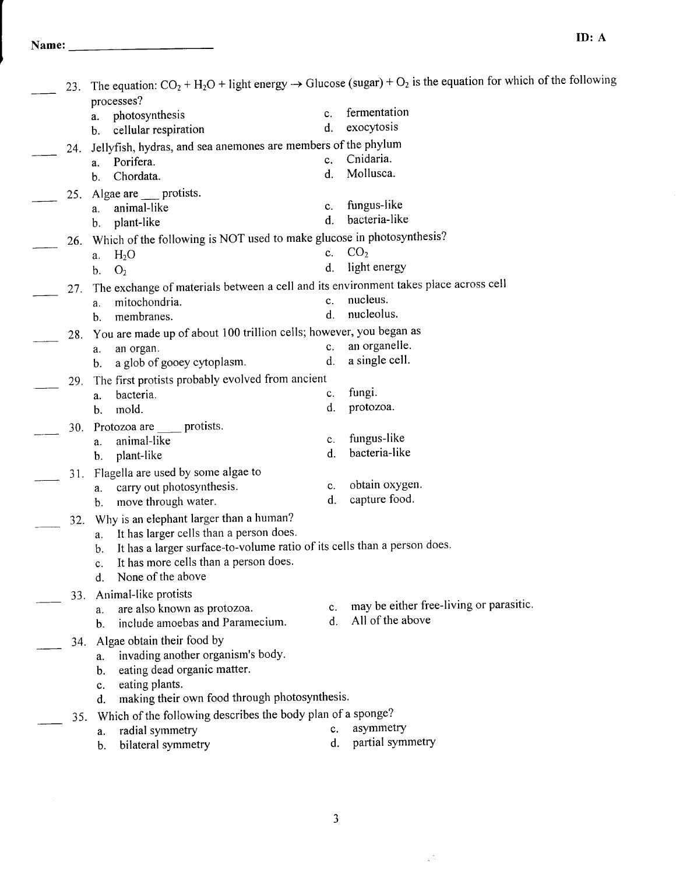| 23. | processes?                                                                           |             | The equation: $CO_2 + H_2O$ + light energy $\rightarrow$ Glucose (sugar) + $O_2$ is the equation for which of the following |
|-----|--------------------------------------------------------------------------------------|-------------|-----------------------------------------------------------------------------------------------------------------------------|
|     | photosynthesis<br>a.                                                                 | c.          | fermentation                                                                                                                |
|     | cellular respiration<br>b.                                                           | d.          | exocytosis                                                                                                                  |
|     | Jellyfish, hydras, and sea anemones are members of the phylum                        |             |                                                                                                                             |
| 24. | Porifera.<br>a.                                                                      | $c_{\cdot}$ | Cnidaria.                                                                                                                   |
|     | Chordata.<br>b.                                                                      | d.          | Mollusca.                                                                                                                   |
|     | Algae are ___ protists.                                                              |             |                                                                                                                             |
| 25. | animal-like                                                                          | $c_{\cdot}$ | fungus-like                                                                                                                 |
|     | a.<br>plant-like<br>b.                                                               | d.          | bacteria-like                                                                                                               |
|     | Which of the following is NOT used to make glucose in photosynthesis?                |             |                                                                                                                             |
| 26. | H <sub>2</sub> O                                                                     | $c_{\cdot}$ | CO <sub>2</sub>                                                                                                             |
|     | a.<br>O <sub>2</sub>                                                                 | d.          | light energy                                                                                                                |
|     | b.                                                                                   |             |                                                                                                                             |
| 27. | The exchange of materials between a cell and its environment takes place across cell | c.          | nucleus.                                                                                                                    |
|     | mitochondria.<br>a.<br>membranes.                                                    | d.          | nucleolus.                                                                                                                  |
|     | b.                                                                                   |             |                                                                                                                             |
| 28. | You are made up of about 100 trillion cells; however, you began as                   |             | an organelle.                                                                                                               |
|     | an organ.<br>a.                                                                      | c.<br>d.    | a single cell.                                                                                                              |
|     | a glob of gooey cytoplasm.<br>$\mathbf b$ .                                          |             |                                                                                                                             |
| 29. | The first protists probably evolved from ancient                                     |             |                                                                                                                             |
|     | bacteria.<br>a.                                                                      | c.          | fungi.                                                                                                                      |
|     | mold.<br>b.                                                                          | d.          | protozoa.                                                                                                                   |
| 30. | Protozoa are<br>protists.                                                            |             |                                                                                                                             |
|     | animal-like<br>a.                                                                    | c.          | fungus-like<br>bacteria-like                                                                                                |
|     | plant-like<br>b.                                                                     | d.          |                                                                                                                             |
| 31. | Flagella are used by some algae to                                                   |             |                                                                                                                             |
|     | carry out photosynthesis.<br>a.                                                      | c.          | obtain oxygen.                                                                                                              |
|     | move through water.<br>b.                                                            | d.          | capture food.                                                                                                               |
| 32. | Why is an elephant larger than a human?                                              |             |                                                                                                                             |
|     | It has larger cells than a person does.<br>a.                                        |             |                                                                                                                             |
|     | It has a larger surface-to-volume ratio of its cells than a person does.<br>b.       |             |                                                                                                                             |
|     | It has more cells than a person does.                                                |             |                                                                                                                             |
|     | None of the above<br>d.                                                              |             |                                                                                                                             |
| 33. | Animal-like protists                                                                 |             | may be either free-living or parasitic.                                                                                     |
|     | are also known as protozoa.<br>a.                                                    | c.          | All of the above                                                                                                            |
|     | include amoebas and Paramecium.<br>b.                                                | d.          |                                                                                                                             |
| 34. | Algae obtain their food by                                                           |             |                                                                                                                             |
|     | invading another organism's body.<br>a.                                              |             |                                                                                                                             |
|     | eating dead organic matter.<br>b.                                                    |             |                                                                                                                             |
|     | eating plants.<br>c.                                                                 |             |                                                                                                                             |
|     | making their own food through photosynthesis.<br>d.                                  |             |                                                                                                                             |
| 35. | Which of the following describes the body plan of a sponge?                          |             |                                                                                                                             |
|     | radial symmetry<br>a.                                                                | c.          | asymmetry                                                                                                                   |
|     | bilateral symmetry<br>b.                                                             | d.          | partial symmetry                                                                                                            |

 $\frac{1}{\sqrt{2}}\frac{1}{\sqrt{2}}$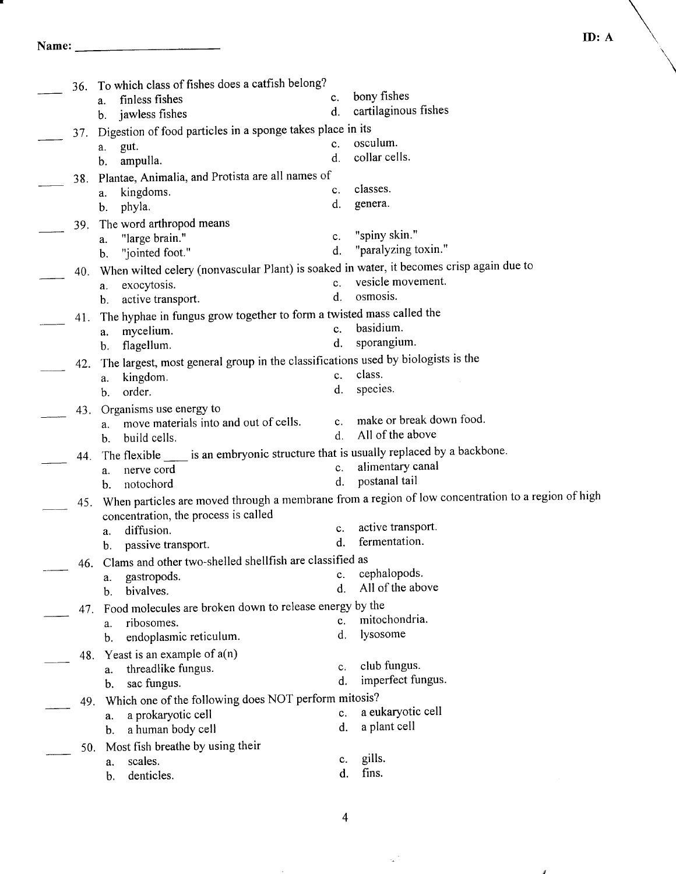### Name:

| 36. | To which class of fishes does a catfish belong?                                          |                |                                                                                                    |
|-----|------------------------------------------------------------------------------------------|----------------|----------------------------------------------------------------------------------------------------|
|     | finless fishes<br>a.                                                                     | c.             | bony fishes                                                                                        |
|     | jawless fishes<br>b.                                                                     | d.             | cartilaginous fishes                                                                               |
| 37. | Digestion of food particles in a sponge takes place in its                               |                |                                                                                                    |
|     | gut.<br>a.                                                                               | $c_{-}$        | osculum.                                                                                           |
|     | ampulla.<br>b.                                                                           | d.             | collar cells.                                                                                      |
| 38. | Plantae, Animalia, and Protista are all names of                                         |                |                                                                                                    |
|     | kingdoms.<br>a.                                                                          | c.             | classes.                                                                                           |
|     | phyla.<br>b.                                                                             | d.             | genera.                                                                                            |
| 39. | The word arthropod means                                                                 |                |                                                                                                    |
|     | "large brain."<br>a.                                                                     | c.             | "spiny skin."                                                                                      |
|     | "jointed foot."<br>b.                                                                    | d.             | "paralyzing toxin."                                                                                |
| 40. | When wilted celery (nonvascular Plant) is soaked in water, it becomes crisp again due to |                |                                                                                                    |
|     | exocytosis.<br>a.                                                                        | $c_{\cdot}$    | vesicle movement.                                                                                  |
|     | active transport.<br>b.                                                                  | $\mathbf{d}$ . | osmosis.                                                                                           |
| 41. | The hyphae in fungus grow together to form a twisted mass called the                     |                |                                                                                                    |
|     | mycelium.<br>a.                                                                          | $c_{\cdot}$    | basidium.                                                                                          |
|     | flagellum.<br>$\mathbf{b}$ .                                                             | d.             | sporangium.                                                                                        |
| 42. | The largest, most general group in the classifications used by biologists is the         |                |                                                                                                    |
|     | kingdom.<br>a.                                                                           | $c_{\cdot}$    | class.                                                                                             |
|     | order.<br>b.                                                                             | d.             | species.                                                                                           |
| 43. | Organisms use energy to                                                                  |                |                                                                                                    |
|     | move materials into and out of cells.<br>a.                                              | $c_{\cdot}$    | make or break down food.                                                                           |
|     | build cells.<br>b.                                                                       | d.             | All of the above                                                                                   |
| 44. | The flexible _____ is an embryonic structure that is usually replaced by a backbone.     |                |                                                                                                    |
|     | nerve cord<br>a.                                                                         | c.             | alimentary canal                                                                                   |
|     | notochord<br>b.                                                                          | d.             | postanal tail                                                                                      |
| 45. |                                                                                          |                | When particles are moved through a membrane from a region of low concentration to a region of high |
|     | concentration, the process is called                                                     |                |                                                                                                    |
|     | diffusion.<br>a.                                                                         | c.             | active transport.                                                                                  |
|     | passive transport.<br>b.                                                                 | d.             | fermentation.                                                                                      |
|     | 46. Clams and other two-shelled shellfish are classified as                              |                |                                                                                                    |
|     | gastropods.<br>a.                                                                        | c.             | cephalopods.                                                                                       |
|     | bivalves.<br>b.                                                                          | d.             | All of the above                                                                                   |
| 47. | Food molecules are broken down to release energy by the                                  |                |                                                                                                    |
|     | ribosomes.<br>a.                                                                         | C <sub>r</sub> | mitochondria.                                                                                      |
|     | endoplasmic reticulum.<br>b.                                                             | d.             | lysosome                                                                                           |
| 48. | Yeast is an example of $a(n)$                                                            |                |                                                                                                    |
|     | threadlike fungus.<br>a.                                                                 | c.             | club fungus.                                                                                       |
|     | sac fungus.<br>b.                                                                        | d.             | imperfect fungus.                                                                                  |
| 49. | Which one of the following does NOT perform mitosis?                                     |                |                                                                                                    |
|     | a prokaryotic cell<br>a.                                                                 | c.             | a eukaryotic cell                                                                                  |
|     | a human body cell<br>$\mathbf b$ .                                                       | d.             | a plant cell                                                                                       |
| 50. | Most fish breathe by using their                                                         |                |                                                                                                    |
|     | scales.<br>a.                                                                            | c.             | gills.                                                                                             |
|     | denticles.<br>b.                                                                         | d.             | fins.                                                                                              |

4

 $\sim$ 

g).

 $\boldsymbol{y}$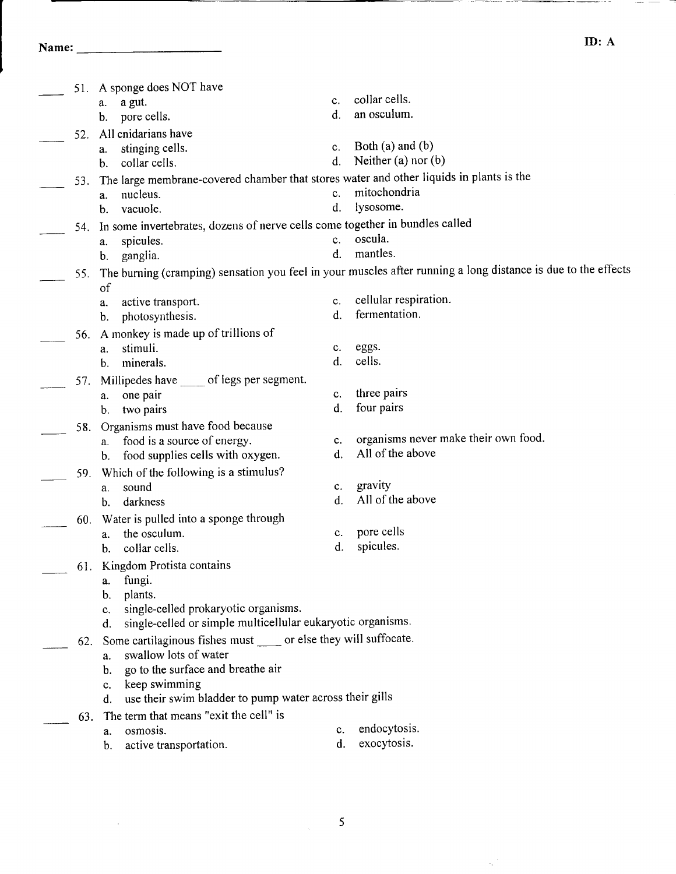Name: lD: A

 $\sim 10^{-11}$ 

---

|     | 51. A sponge does NOT have                                                              |    |                                                                                                               |
|-----|-----------------------------------------------------------------------------------------|----|---------------------------------------------------------------------------------------------------------------|
|     | a gut.<br>a.                                                                            | c. | collar cells.                                                                                                 |
|     | pore cells.<br>b.                                                                       | d. | an osculum.                                                                                                   |
| 52. | All cnidarians have                                                                     |    |                                                                                                               |
|     | stinging cells.<br>a.                                                                   | c. | Both $(a)$ and $(b)$                                                                                          |
|     | collar cells.<br>$\mathbf{b}$ .                                                         | d. | Neither $(a)$ nor $(b)$                                                                                       |
| 53. | The large membrane-covered chamber that stores water and other liquids in plants is the |    |                                                                                                               |
|     | nucleus.<br>a.                                                                          | c. | mitochondria                                                                                                  |
|     | vacuole.<br>$\mathbf b$ .                                                               | d. | lysosome.                                                                                                     |
| 54. | In some invertebrates, dozens of nerve cells come together in bundles called            |    |                                                                                                               |
|     | spicules.<br>a.                                                                         | c. | oscula.                                                                                                       |
|     | ganglia.<br>$\mathbf b$ .                                                               | d. | mantles.                                                                                                      |
| 55. |                                                                                         |    | The burning (cramping) sensation you feel in your muscles after running a long distance is due to the effects |
|     | of                                                                                      |    |                                                                                                               |
|     | active transport.<br>a.                                                                 | c. | cellular respiration.                                                                                         |
|     | photosynthesis.<br>b.                                                                   | d. | fermentation.                                                                                                 |
| 56. | A monkey is made up of trillions of                                                     |    |                                                                                                               |
|     | stimuli.<br>a.                                                                          | c. | eggs.                                                                                                         |
|     | minerals.<br>b.                                                                         | d. | cells.                                                                                                        |
| 57. | Millipedes have _____ of legs per segment.                                              |    |                                                                                                               |
|     | one pair<br>a.                                                                          | c. | three pairs                                                                                                   |
|     | two pairs<br>$\mathbf{b}_{\cdot}$                                                       | d. | four pairs                                                                                                    |
| 58. | Organisms must have food because                                                        |    |                                                                                                               |
|     | food is a source of energy.<br>a.                                                       | c. | organisms never make their own food.                                                                          |
|     | food supplies cells with oxygen.<br>$\mathbf{b}$ .                                      | d. | All of the above                                                                                              |
| 59. | Which of the following is a stimulus?                                                   |    |                                                                                                               |
|     | sound<br>a.                                                                             | c. | gravity                                                                                                       |
|     | darkness<br>b.                                                                          | d. | All of the above                                                                                              |
| 60. | Water is pulled into a sponge through                                                   |    |                                                                                                               |
|     | the osculum.<br>a.                                                                      | c. | pore cells                                                                                                    |
|     | collar cells.<br>b.                                                                     | d. | spicules.                                                                                                     |
|     | 61. Kingdom Protista contains                                                           |    |                                                                                                               |
|     | fungi.<br>a.                                                                            |    |                                                                                                               |
|     | plants.<br>b.                                                                           |    |                                                                                                               |
|     | single-celled prokaryotic organisms.<br>c.                                              |    |                                                                                                               |
|     | single-celled or simple multicellular eukaryotic organisms.<br>d.                       |    |                                                                                                               |
| 62. | Some cartilaginous fishes must _____ or else they will suffocate.                       |    |                                                                                                               |
|     | swallow lots of water<br>a.                                                             |    |                                                                                                               |
|     | go to the surface and breathe air<br>b.                                                 |    |                                                                                                               |
|     | keep swimming<br>$c_{\rm c}$                                                            |    |                                                                                                               |
|     | use their swim bladder to pump water across their gills<br>d.                           |    |                                                                                                               |
| 63. | The term that means "exit the cell" is                                                  |    |                                                                                                               |
|     | osmosis.<br>a.                                                                          | c. | endocytosis.                                                                                                  |
|     | active transportation.<br>b.                                                            | d. | exocytosis.                                                                                                   |

 $\overline{\mathbf{5}}$ 

 $\mathcal{L}^{(1)}$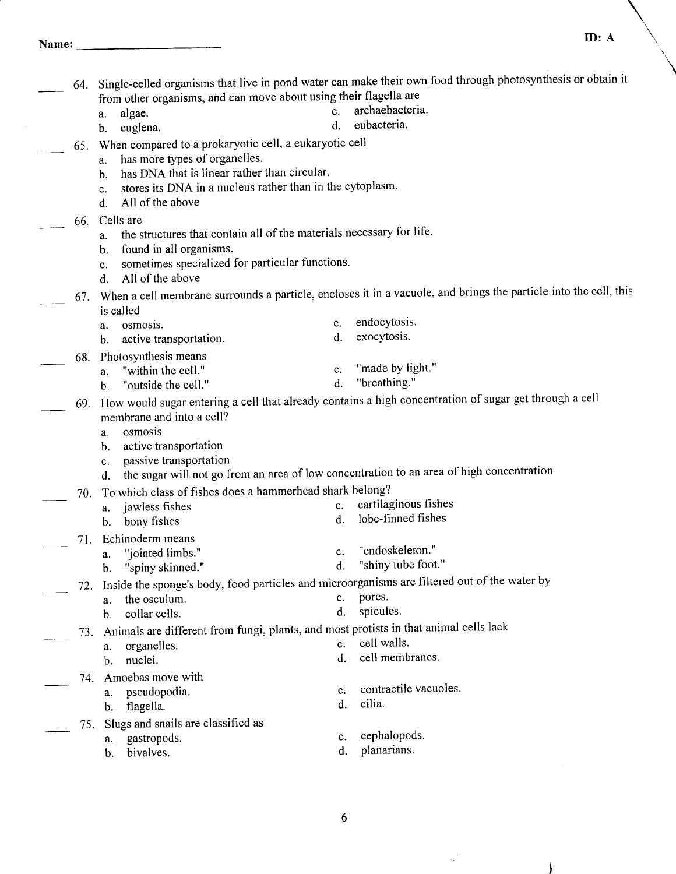|     | from other organisms, and can move about using their flagella are                            |          | 64. Single-celled organisms that live in pond water can make their own food through photosynthesis or obtain it  |
|-----|----------------------------------------------------------------------------------------------|----------|------------------------------------------------------------------------------------------------------------------|
|     | algae.<br>a.                                                                                 | c.       | archaebacteria.                                                                                                  |
|     | euglena.<br>b.                                                                               | d.       | eubacteria.                                                                                                      |
| 65. | When compared to a prokaryotic cell, a eukaryotic cell                                       |          |                                                                                                                  |
|     | has more types of organelles.<br>a.                                                          |          |                                                                                                                  |
|     | has DNA that is linear rather than circular.<br>b.                                           |          |                                                                                                                  |
|     | stores its DNA in a nucleus rather than in the cytoplasm.<br>c.<br>All of the above          |          |                                                                                                                  |
|     | d.                                                                                           |          |                                                                                                                  |
| 66. | Cells are<br>the structures that contain all of the materials necessary for life.<br>a.      |          |                                                                                                                  |
|     | found in all organisms.<br>b.                                                                |          |                                                                                                                  |
|     | sometimes specialized for particular functions.<br>c.                                        |          |                                                                                                                  |
|     | All of the above<br>d.                                                                       |          |                                                                                                                  |
| 67. |                                                                                              |          | When a cell membrane surrounds a particle, encloses it in a vacuole, and brings the particle into the cell, this |
|     | is called                                                                                    |          |                                                                                                                  |
|     | osmosis.<br>a.                                                                               | c.       | endocytosis.                                                                                                     |
|     | active transportation.<br>b.                                                                 | d.       | exocytosis.                                                                                                      |
| 68. | Photosynthesis means                                                                         |          | "made by light."                                                                                                 |
|     | "within the cell."<br>a.<br>"outside the cell."                                              | c.<br>d. | "breathing."                                                                                                     |
|     | b.                                                                                           |          | How would sugar entering a cell that already contains a high concentration of sugar get through a cell           |
| 69. | membrane and into a cell?                                                                    |          |                                                                                                                  |
|     | osmosis<br>a.                                                                                |          |                                                                                                                  |
|     | active transportation<br>b.                                                                  |          |                                                                                                                  |
|     | passive transportation<br>c.                                                                 |          |                                                                                                                  |
|     | d.                                                                                           |          | the sugar will not go from an area of low concentration to an area of high concentration                         |
| 70. | To which class of fishes does a hammerhead shark belong?                                     |          |                                                                                                                  |
|     | jawless fishes<br>a.                                                                         | c.       | cartilaginous fishes<br>lobe-finned fishes                                                                       |
|     | bony fishes<br>b.                                                                            | d.       |                                                                                                                  |
| 71. | Echinoderm means                                                                             |          | "endoskeleton."                                                                                                  |
|     | "jointed limbs."<br>a.<br>"spiny skinned."<br>b.                                             | c.<br>d. | "shiny tube foot."                                                                                               |
|     | Inside the sponge's body, food particles and microorganisms are filtered out of the water by |          |                                                                                                                  |
| 72. | the osculum.<br>a.                                                                           | c.       | pores.                                                                                                           |
|     | collar cells.<br>b.                                                                          | d.       | spicules.                                                                                                        |
| 73. | Animals are different from fungi, plants, and most protists in that animal cells lack        |          |                                                                                                                  |
|     | organelles.<br>a.                                                                            | c.       | cell walls.                                                                                                      |
|     | nuclei.<br>b.                                                                                | d.       | cell membranes.                                                                                                  |
| 74. | Amoebas move with                                                                            |          |                                                                                                                  |
|     | pseudopodia.<br>a.                                                                           | c.       | contractile vacuoles.                                                                                            |
|     | flagella.<br>b.                                                                              | d.       | cilia.                                                                                                           |
| 75. | Slugs and snails are classified as                                                           |          |                                                                                                                  |
|     | gastropods.<br>a.                                                                            | c.       | cephalopods.                                                                                                     |
|     | bivalves.<br>b.                                                                              | d.       | planarians.                                                                                                      |
|     |                                                                                              |          |                                                                                                                  |

 $\overline{6}$ 

 $\mathbf{q}^{(k)}$ 

 $\lambda$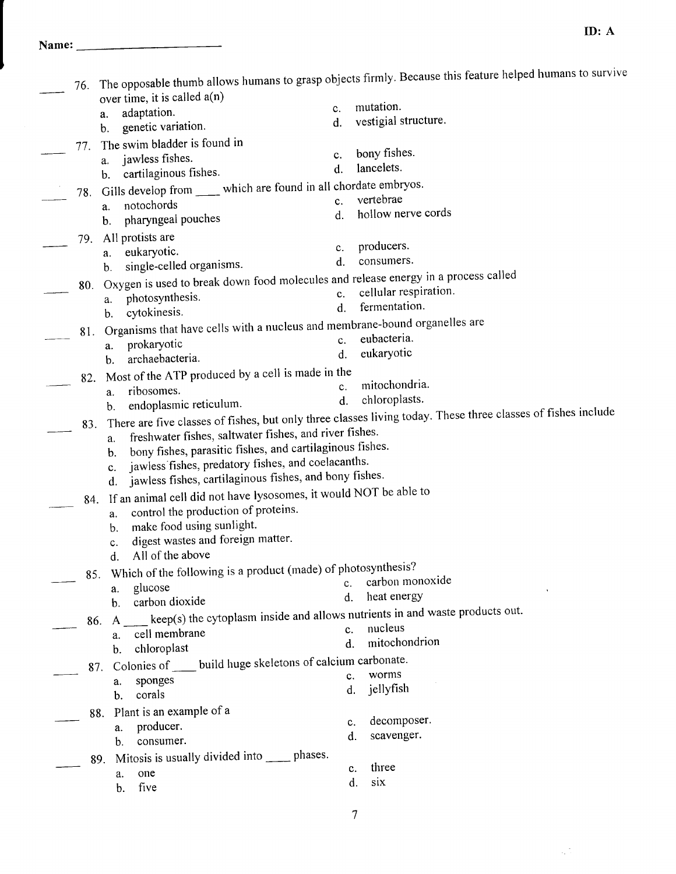|     |                                                                                                                      |                | The opposable thumb allows humans to grasp objects firmly. Because this feature helped humans to survive     |
|-----|----------------------------------------------------------------------------------------------------------------------|----------------|--------------------------------------------------------------------------------------------------------------|
| 76. |                                                                                                                      |                |                                                                                                              |
|     | over time, it is called a(n)<br>c.<br>adaptation.                                                                    |                | mutation.                                                                                                    |
|     | a.<br>d.<br>genetic variation.<br>b.                                                                                 |                | vestigial structure.                                                                                         |
|     | The swim bladder is found in                                                                                         |                |                                                                                                              |
| 77. | c.<br>jawless fishes.                                                                                                |                | bony fishes.                                                                                                 |
|     | a.<br>$\mathbf{d}$ .<br>cartilaginous fishes.<br>b.                                                                  |                | lancelets.                                                                                                   |
|     | Gills develop from ______ which are found in all chordate embryos.                                                   |                |                                                                                                              |
| 78. | c.<br>notochords<br>a.                                                                                               |                | vertebrae                                                                                                    |
|     | d.<br>pharyngeal pouches<br>b.                                                                                       |                | hollow nerve cords                                                                                           |
|     | 79. All protists are                                                                                                 |                |                                                                                                              |
|     | c.<br>eukaryotic.<br>а.                                                                                              |                | producers.                                                                                                   |
|     | d.<br>single-celled organisms.<br>$\mathbf{b}$ .                                                                     |                | consumers.                                                                                                   |
| 80. | Oxygen is used to break down food molecules and release energy in a process called                                   |                |                                                                                                              |
|     | photosynthesis.<br>a.                                                                                                | c.             | cellular respiration.                                                                                        |
|     | cytokinesis.<br>b.                                                                                                   | d.             | fermentation.                                                                                                |
| 81. | Organisms that have cells with a nucleus and membrane-bound organelles are                                           |                |                                                                                                              |
|     | prokaryotic<br>a.                                                                                                    | c.             | eubacteria.                                                                                                  |
|     | archaebacteria.<br>b.                                                                                                | $\mathbf{d}$ . | eukaryotic                                                                                                   |
| 82. | Most of the ATP produced by a cell is made in the                                                                    |                |                                                                                                              |
|     | ribosomes.<br>a.                                                                                                     | c.             | mitochondria.<br>chloroplasts.                                                                               |
|     | endoplasmic reticulum.<br>b.                                                                                         | d.             |                                                                                                              |
| 83. |                                                                                                                      |                | There are five classes of fishes, but only three classes living today. These three classes of fishes include |
|     | freshwater fishes, saltwater fishes, and river fishes.<br>a.                                                         |                |                                                                                                              |
|     | bony fishes, parasitic fishes, and cartilaginous fishes.<br>b.<br>jawless fishes, predatory fishes, and coelacanths. |                |                                                                                                              |
|     | c.<br>jawless fishes, cartilaginous fishes, and bony fishes.                                                         |                |                                                                                                              |
|     | d.<br>If an animal cell did not have lysosomes, it would NOT be able to                                              |                |                                                                                                              |
| 84. | control the production of proteins.                                                                                  |                |                                                                                                              |
|     | a.<br>make food using sunlight.<br>$b$                                                                               |                |                                                                                                              |
|     | digest wastes and foreign matter.<br>c.                                                                              |                |                                                                                                              |
|     | All of the above<br>d.                                                                                               |                |                                                                                                              |
| 85. | Which of the following is a product (made) of photosynthesis?                                                        |                |                                                                                                              |
|     | glucose<br>a.                                                                                                        | c.             | carbon monoxide                                                                                              |
|     | carbon dioxide<br>$\mathbf{b}$ .                                                                                     | d.             | heat energy                                                                                                  |
| 86. | keep(s) the cytoplasm inside and allows nutrients in and waste products out.<br>$\mathsf{A}$                         |                |                                                                                                              |
|     | cell membrane<br>a.                                                                                                  | c.             | nucleus                                                                                                      |
|     | chloroplast<br>b.                                                                                                    | d.             | mitochondrion                                                                                                |
| 87. | Colonies of _____ build huge skeletons of calcium carbonate.                                                         |                |                                                                                                              |
|     | sponges<br>a.                                                                                                        | c.             | worms                                                                                                        |
|     | corals<br>b.                                                                                                         | d.             | jellyfish                                                                                                    |
| 88. | Plant is an example of a                                                                                             |                |                                                                                                              |
|     | producer.<br>a.                                                                                                      | c.             | decomposer.                                                                                                  |
|     | consumer.<br>b.                                                                                                      | d.             | scavenger.                                                                                                   |
| 89. | Mitosis is usually divided into ______ phases.                                                                       |                |                                                                                                              |
|     | one<br>a.                                                                                                            | c.<br>d.       | three<br>six                                                                                                 |
|     | five<br>b.                                                                                                           |                |                                                                                                              |
|     |                                                                                                                      |                |                                                                                                              |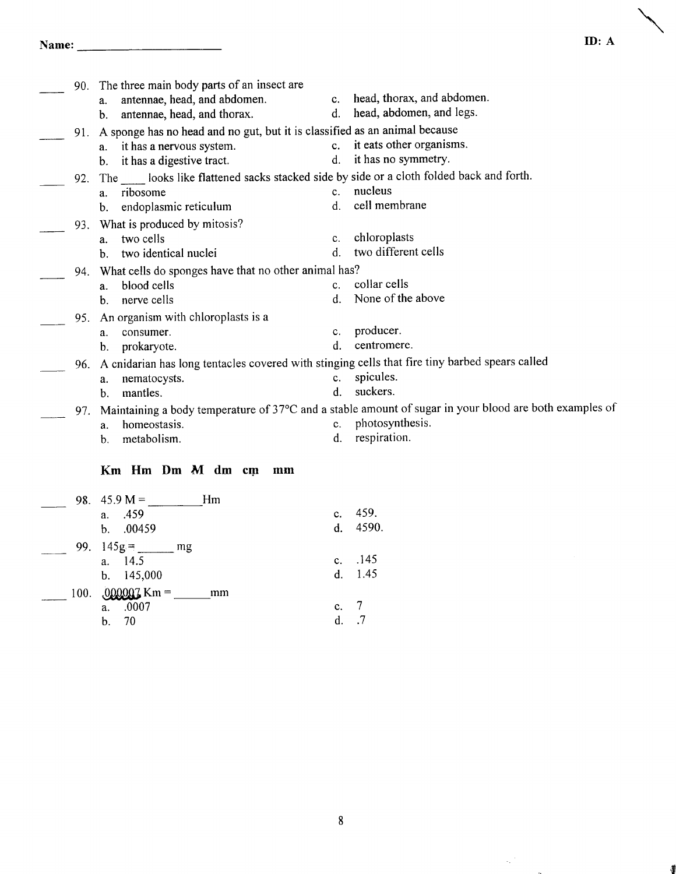# Name: ID: A

| 90. | The three main body parts of an insect are                                                     |             |                                                                                                        |
|-----|------------------------------------------------------------------------------------------------|-------------|--------------------------------------------------------------------------------------------------------|
|     | antennae, head, and abdomen.<br>a.                                                             | $c_{\cdot}$ | head, thorax, and abdomen.                                                                             |
|     | antennae, head, and thorax.<br>b.                                                              | d.          | head, abdomen, and legs.                                                                               |
| 91. | A sponge has no head and no gut, but it is classified as an animal because                     |             |                                                                                                        |
|     | it has a nervous system.<br>a.                                                                 | $c_{\rm r}$ | it eats other organisms.                                                                               |
|     | it has a digestive tract.<br>b.                                                                | d.          | it has no symmetry.                                                                                    |
| 92. | The ______ looks like flattened sacks stacked side by side or a cloth folded back and forth.   |             |                                                                                                        |
|     | ribosome<br>a.                                                                                 | $C_{-}$     | nucleus                                                                                                |
|     | endoplasmic reticulum<br>b.                                                                    | d.          | cell membrane                                                                                          |
| 93. | What is produced by mitosis?                                                                   |             |                                                                                                        |
|     | two cells<br>a.                                                                                | c.          | chloroplasts                                                                                           |
|     | two identical nuclei<br>h.                                                                     | $d_{-}$     | two different cells                                                                                    |
| 94. | What cells do sponges have that no other animal has?                                           |             |                                                                                                        |
|     | blood cells<br>a.                                                                              | $c_{\cdot}$ | collar cells                                                                                           |
|     | nerve cells<br>b.                                                                              | d.          | None of the above                                                                                      |
| 95. | An organism with chloroplasts is a                                                             |             |                                                                                                        |
|     | consumer.<br>a.                                                                                | c.          | producer.                                                                                              |
|     | prokaryote.<br>b.                                                                              | d.          | centromere.                                                                                            |
| 96. | A cnidarian has long tentacles covered with stinging cells that fire tiny barbed spears called |             |                                                                                                        |
|     | nematocysts.<br>a.                                                                             | c.          | spicules.                                                                                              |
|     | mantles.<br>b.                                                                                 | $d_{-}$     | suckers.                                                                                               |
| 97. |                                                                                                |             | Maintaining a body temperature of 37°C and a stable amount of sugar in your blood are both examples of |
|     | homeostasis.<br>a.                                                                             | $c_{\cdot}$ | photosynthesis.                                                                                        |
|     | metabolism.<br>b.                                                                              | d.          | respiration.                                                                                           |
|     |                                                                                                |             |                                                                                                        |

#### Km Hm Dm M dm cm mm

|      | Hm<br>98. $45.9 M =$<br>a. .459<br>b. .00459        | $c_{\cdot}$ | 459.<br>d. 4590. |
|------|-----------------------------------------------------|-------------|------------------|
|      | $145g =$<br>99.<br>mg<br>14.5<br>a.<br>b. $145,000$ | $c_{\cdot}$ | .145<br>d. 1.45  |
| 100. | $000007$ Km =<br>mm<br>.0007<br>a.<br>70<br>b.      | c.<br>d     | .7               |

 $\mathcal{A}^{(1)}$ 

 $\ddot{\phantom{a}}$ 

∦